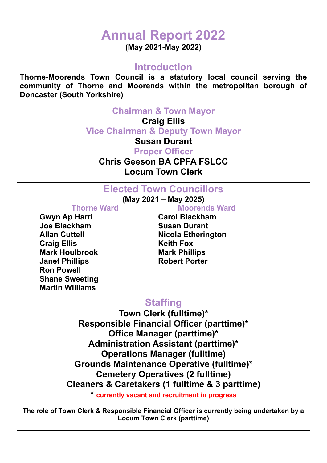# **Annual Report 2022**

**(May 2021-May 2022)**

#### **Introduction**

**Thorne-Moorends Town Council is a statutory local council serving the community of Thorne and Moorends within the metropolitan borough of Doncaster (South Yorkshire)** 

**Chairman & Town Mayor** 

#### **Craig Ellis**

**Vice Chairman & Deputy Town Mayor** 

**Susan Durant**

**Proper Officer** 

**Chris Geeson BA CPFA FSLCC**

**Locum Town Clerk** 

# **Elected Town Councillors**

**(May 2021 – May 2025)** 

Gwyn Ap Harri **Carol Blackham Joe Blackham Susan Durant Craig Ellis Keith Fox Mark Houlbrook Mark Phillips Janet Phillips Communist Porter Robert Porter Ron Powell Shane Sweeting Martin Williams** 

**Thorne Ward Moorends Ward** 

**Allan Cuttell Cultimes Allan Cuttell Cultimes Allan Cuttell** 

# **Staffing**

**Town Clerk (fulltime)\* Responsible Financial Officer (parttime)\* Office Manager (parttime)\* Administration Assistant (parttime)\* Operations Manager (fulltime) Grounds Maintenance Operative (fulltime)\* Cemetery Operatives (2 fulltime) Cleaners & Caretakers (1 fulltime & 3 parttime)**

**\* currently vacant and recruitment in progress**

**The role of Town Clerk & Responsible Financial Officer is currently being undertaken by a Locum Town Clerk (parttime)**